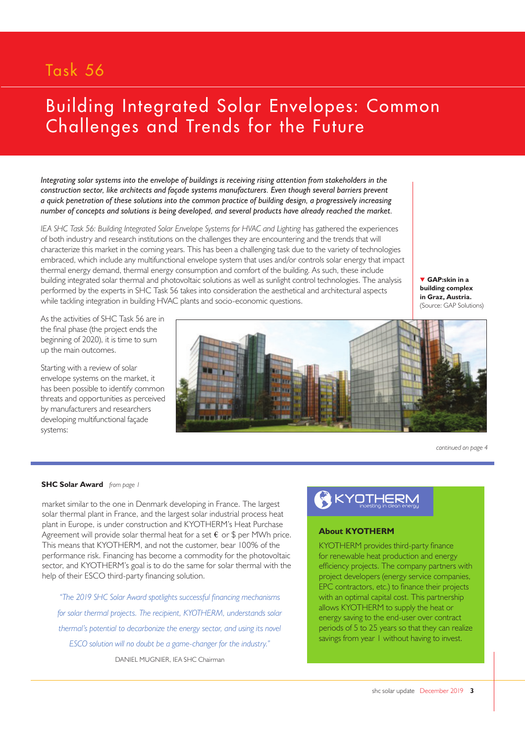## Task 56

# Building Integrated Solar Envelopes: Common Challenges and Trends for the Future

*Integrating solar systems into the envelope of buildings is receiving rising attention from stakeholders in the construction sector, like architects and façade systems manufacturers. Even though several barriers prevent a quick penetration of these solutions into the common practice of building design, a progressively increasing number of concepts and solutions is being developed, and several products have already reached the market.*

*IEA SHC Task 56: Building Integrated Solar Envelope Systems for HVAC and Lighting has gathered the experiences* of both industry and research institutions on the challenges they are encountering and the trends that will characterize this market in the coming years. This has been a challenging task due to the variety of technologies embraced, which include any multifunctional envelope system that uses and/or controls solar energy that impact thermal energy demand, thermal energy consumption and comfort of the building. As such, these include building integrated solar thermal and photovoltaic solutions as well as sunlight control technologies. The analysis performed by the experts in SHC Task 56 takes into consideration the aesthetical and architectural aspects while tackling integration in building HVAC plants and socio-economic questions.

**GAP:skin in a building complex in Graz, Austria.**  (Source: GAP Solutions)

As the activities of SHC Task 56 are in the final phase (the project ends the beginning of 2020), it is time to sum up the main outcomes.

Starting with a review of solar envelope systems on the market, it has been possible to identify common threats and opportunities as perceived by manufacturers and researchers developing multifunctional façade systems:



*continued on page 4*

#### **SHC Solar Award** *from page 1*

market similar to the one in Denmark developing in France. The largest solar thermal plant in France, and the largest solar industrial process heat plant in Europe, is under construction and KYOTHERM's Heat Purchase Agreement will provide solar thermal heat for a set  $\epsilon$  or \$ per MWh price. This means that KYOTHERM, and not the customer, bear 100% of the performance risk. Financing has become a commodity for the photovoltaic sector, and KYOTHERM's goal is to do the same for solar thermal with the help of their ESCO third-party financing solution.

*"The 2019 SHC Solar Award spotlights successful financing mechanisms for solar thermal projects. The recipient, KYOTHERM, understands solar thermal's potential to decarbonize the energy sector, and using its novel ESCO solution will no doubt be a game-changer for the industry."* DANIEL MUGNIER, IEA SHC Chairman



### **About KYOTHERM**

KYOTHERM provides third-party finance for renewable heat production and energy efficiency projects. The company partners with project developers (energy service companies, EPC contractors, etc.) to finance their projects with an optimal capital cost. This partnership allows KYOTHERM to supply the heat or energy saving to the end-user over contract periods of 5 to 25 years so that they can realize savings from year 1 without having to invest.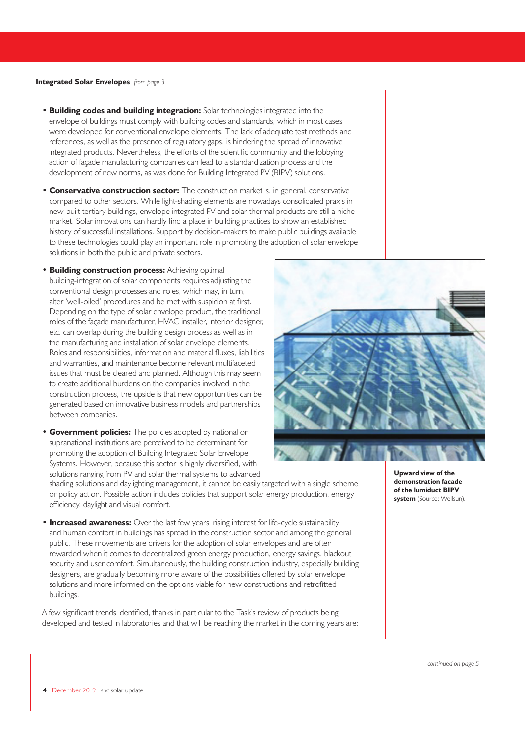#### **Integrated Solar Envelopes** *from page 3*

- **Building codes and building integration:** Solar technologies integrated into the envelope of buildings must comply with building codes and standards, which in most cases were developed for conventional envelope elements. The lack of adequate test methods and references, as well as the presence of regulatory gaps, is hindering the spread of innovative integrated products. Nevertheless, the efforts of the scientific community and the lobbying action of façade manufacturing companies can lead to a standardization process and the development of new norms, as was done for Building Integrated PV (BIPV) solutions.
- **Conservative construction sector:** The construction market is, in general, conservative compared to other sectors. While light-shading elements are nowadays consolidated praxis in new-built tertiary buildings, envelope integrated PV and solar thermal products are still a niche market. Solar innovations can hardly find a place in building practices to show an established history of successful installations. Support by decision-makers to make public buildings available to these technologies could play an important role in promoting the adoption of solar envelope solutions in both the public and private sectors.
- **Building construction process:** Achieving optimal building-integration of solar components requires adjusting the conventional design processes and roles, which may, in turn, alter 'well-oiled' procedures and be met with suspicion at first. Depending on the type of solar envelope product, the traditional roles of the façade manufacturer, HVAC installer, interior designer, etc. can overlap during the building design process as well as in the manufacturing and installation of solar envelope elements. Roles and responsibilities, information and material fluxes, liabilities and warranties, and maintenance become relevant multifaceted issues that must be cleared and planned. Although this may seem to create additional burdens on the companies involved in the construction process, the upside is that new opportunities can be generated based on innovative business models and partnerships between companies.
- **Government policies:** The policies adopted by national or supranational institutions are perceived to be determinant for promoting the adoption of Building Integrated Solar Envelope Systems. However, because this sector is highly diversified, with solutions ranging from PV and solar thermal systems to advanced



shading solutions and daylighting management, it cannot be easily targeted with a single scheme or policy action. Possible action includes policies that support solar energy production, energy efficiency, daylight and visual comfort.

**• Increased awareness:** Over the last few years, rising interest for life-cycle sustainability and human comfort in buildings has spread in the construction sector and among the general public. These movements are drivers for the adoption of solar envelopes and are often rewarded when it comes to decentralized green energy production, energy savings, blackout security and user comfort. Simultaneously, the building construction industry, especially building designers, are gradually becoming more aware of the possibilities offered by solar envelope solutions and more informed on the options viable for new constructions and retrofitted buildings.

A few significant trends identified, thanks in particular to the Task's review of products being developed and tested in laboratories and that will be reaching the market in the coming years are: **Upward view of the demonstration facade of the lumiduct BIPV system** (Source: Wellsun).